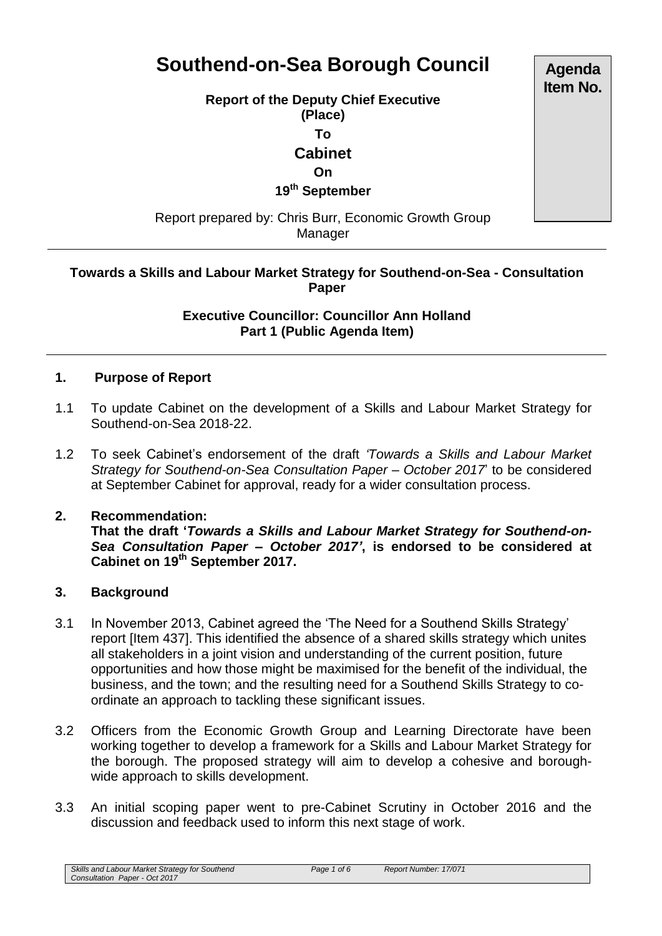# **Southend-on-Sea Borough Council**

**Report of the Deputy Chief Executive** 

**(Place)**

**To**

**Cabinet**

# **On**

**19th September**

Report prepared by: Chris Burr, Economic Growth Group Manager

# **Towards a Skills and Labour Market Strategy for Southend-on-Sea - Consultation Paper**

#### **Executive Councillor: Councillor Ann Holland Part 1 (Public Agenda Item)**

# **1. Purpose of Report**

- 1.1 To update Cabinet on the development of a Skills and Labour Market Strategy for Southend-on-Sea 2018-22.
- 1.2 To seek Cabinet's endorsement of the draft *'Towards a Skills and Labour Market Strategy for Southend-on-Sea Consultation Paper – October 2017*' to be considered at September Cabinet for approval, ready for a wider consultation process.

#### **2. Recommendation:**

**That the draft '***Towards a Skills and Labour Market Strategy for Southend-on-Sea Consultation Paper – October 2017'***, is endorsed to be considered at Cabinet on 19th September 2017.**

#### **3. Background**

- 3.1 In November 2013, Cabinet agreed the 'The Need for a Southend Skills Strategy' report [Item 437]. This identified the absence of a shared skills strategy which unites all stakeholders in a joint vision and understanding of the current position, future opportunities and how those might be maximised for the benefit of the individual, the business, and the town; and the resulting need for a Southend Skills Strategy to coordinate an approach to tackling these significant issues.
- 3.2 Officers from the Economic Growth Group and Learning Directorate have been working together to develop a framework for a Skills and Labour Market Strategy for the borough. The proposed strategy will aim to develop a cohesive and boroughwide approach to skills development.
- 3.3 An initial scoping paper went to pre-Cabinet Scrutiny in October 2016 and the discussion and feedback used to inform this next stage of work.

*Skills and Labour Market Strategy for Southend Consultation Paper - Oct 2017*

**Agenda Item No.**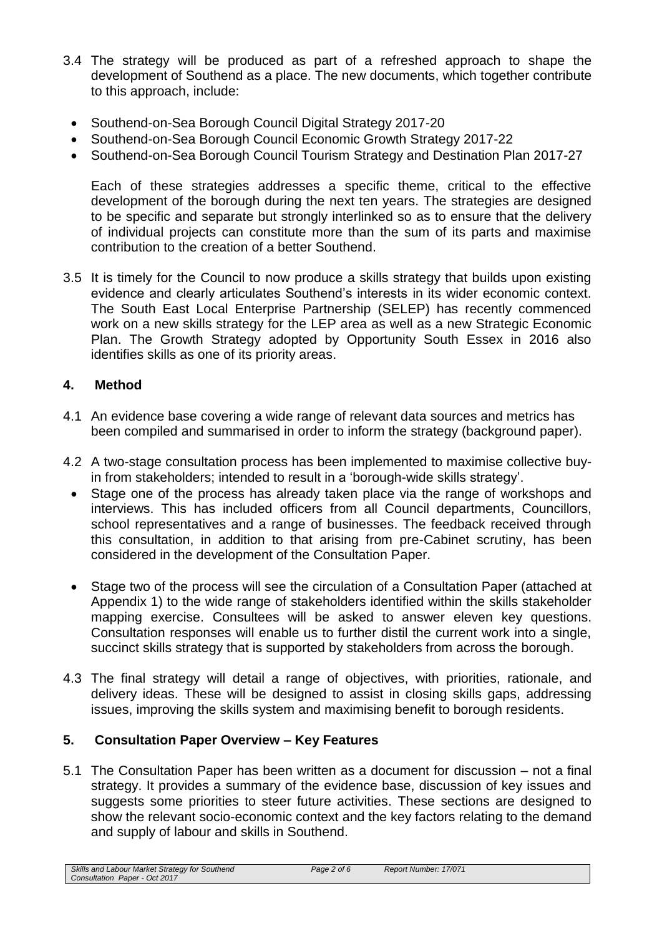- 3.4 The strategy will be produced as part of a refreshed approach to shape the development of Southend as a place. The new documents, which together contribute to this approach, include:
	- Southend-on-Sea Borough Council Digital Strategy 2017-20
	- Southend-on-Sea Borough Council Economic Growth Strategy 2017-22
	- Southend-on-Sea Borough Council Tourism Strategy and Destination Plan 2017-27

Each of these strategies addresses a specific theme, critical to the effective development of the borough during the next ten years. The strategies are designed to be specific and separate but strongly interlinked so as to ensure that the delivery of individual projects can constitute more than the sum of its parts and maximise contribution to the creation of a better Southend.

3.5 It is timely for the Council to now produce a skills strategy that builds upon existing evidence and clearly articulates Southend's interests in its wider economic context. The South East Local Enterprise Partnership (SELEP) has recently commenced work on a new skills strategy for the LEP area as well as a new Strategic Economic Plan. The Growth Strategy adopted by Opportunity South Essex in 2016 also identifies skills as one of its priority areas.

# **4. Method**

- 4.1 An evidence base covering a wide range of relevant data sources and metrics has been compiled and summarised in order to inform the strategy (background paper).
- 4.2 A two-stage consultation process has been implemented to maximise collective buyin from stakeholders; intended to result in a 'borough-wide skills strategy'.
	- Stage one of the process has already taken place via the range of workshops and interviews. This has included officers from all Council departments, Councillors, school representatives and a range of businesses. The feedback received through this consultation, in addition to that arising from pre-Cabinet scrutiny, has been considered in the development of the Consultation Paper.
	- Stage two of the process will see the circulation of a Consultation Paper (attached at Appendix 1) to the wide range of stakeholders identified within the skills stakeholder mapping exercise. Consultees will be asked to answer eleven key questions. Consultation responses will enable us to further distil the current work into a single, succinct skills strategy that is supported by stakeholders from across the borough.
- 4.3 The final strategy will detail a range of objectives, with priorities, rationale, and delivery ideas. These will be designed to assist in closing skills gaps, addressing issues, improving the skills system and maximising benefit to borough residents.

# **5. Consultation Paper Overview – Key Features**

5.1 The Consultation Paper has been written as a document for discussion – not a final strategy. It provides a summary of the evidence base, discussion of key issues and suggests some priorities to steer future activities. These sections are designed to show the relevant socio-economic context and the key factors relating to the demand and supply of labour and skills in Southend.

*Skills and Labour Market Strategy for Southend Consultation Paper - Oct 2017*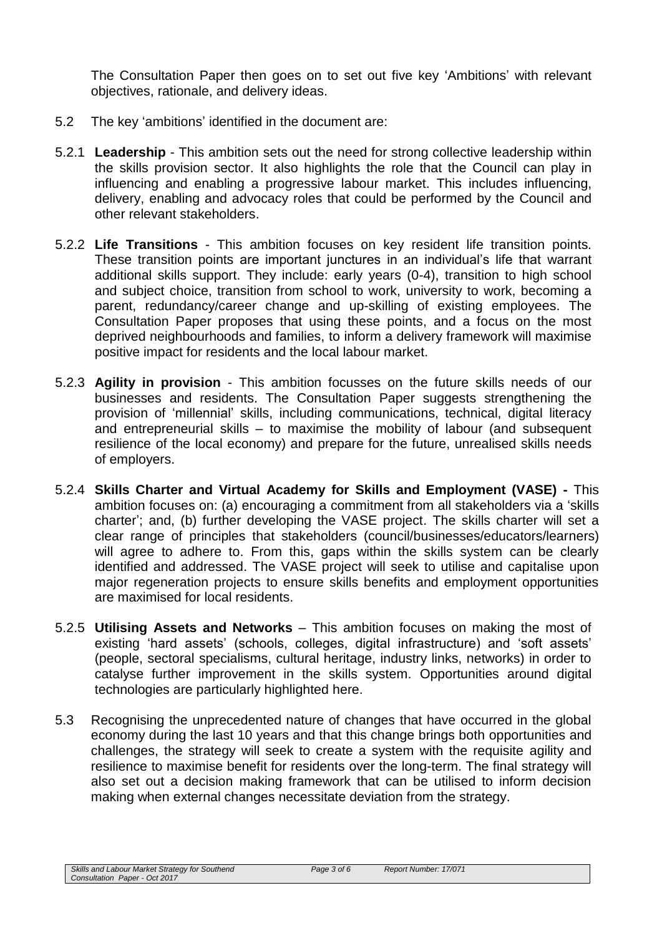The Consultation Paper then goes on to set out five key 'Ambitions' with relevant objectives, rationale, and delivery ideas.

- 5.2 The key 'ambitions' identified in the document are:
- 5.2.1 **Leadership** This ambition sets out the need for strong collective leadership within the skills provision sector. It also highlights the role that the Council can play in influencing and enabling a progressive labour market. This includes influencing, delivery, enabling and advocacy roles that could be performed by the Council and other relevant stakeholders.
- 5.2.2 **Life Transitions** This ambition focuses on key resident life transition points. These transition points are important junctures in an individual's life that warrant additional skills support. They include: early years (0-4), transition to high school and subject choice, transition from school to work, university to work, becoming a parent, redundancy/career change and up-skilling of existing employees. The Consultation Paper proposes that using these points, and a focus on the most deprived neighbourhoods and families, to inform a delivery framework will maximise positive impact for residents and the local labour market.
- 5.2.3 **Agility in provision**  This ambition focusses on the future skills needs of our businesses and residents. The Consultation Paper suggests strengthening the provision of 'millennial' skills, including communications, technical, digital literacy and entrepreneurial skills – to maximise the mobility of labour (and subsequent resilience of the local economy) and prepare for the future, unrealised skills needs of employers.
- 5.2.4 **Skills Charter and Virtual Academy for Skills and Employment (VASE) -** This ambition focuses on: (a) encouraging a commitment from all stakeholders via a 'skills charter'; and, (b) further developing the VASE project. The skills charter will set a clear range of principles that stakeholders (council/businesses/educators/learners) will agree to adhere to. From this, gaps within the skills system can be clearly identified and addressed. The VASE project will seek to utilise and capitalise upon major regeneration projects to ensure skills benefits and employment opportunities are maximised for local residents.
- 5.2.5 **Utilising Assets and Networks** This ambition focuses on making the most of existing 'hard assets' (schools, colleges, digital infrastructure) and 'soft assets' (people, sectoral specialisms, cultural heritage, industry links, networks) in order to catalyse further improvement in the skills system. Opportunities around digital technologies are particularly highlighted here.
- 5.3 Recognising the unprecedented nature of changes that have occurred in the global economy during the last 10 years and that this change brings both opportunities and challenges, the strategy will seek to create a system with the requisite agility and resilience to maximise benefit for residents over the long-term. The final strategy will also set out a decision making framework that can be utilised to inform decision making when external changes necessitate deviation from the strategy.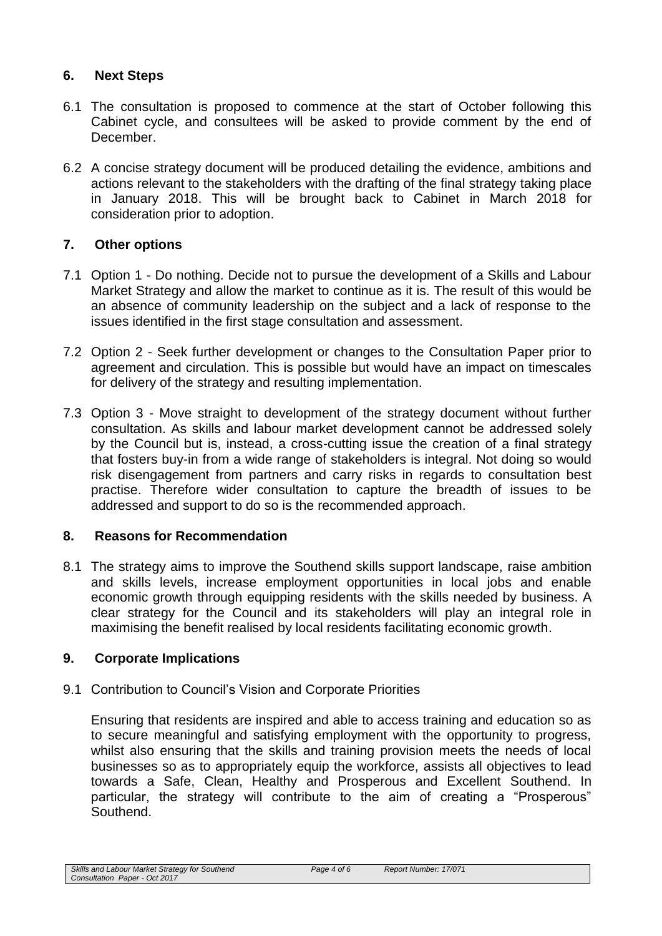# **6. Next Steps**

- 6.1 The consultation is proposed to commence at the start of October following this Cabinet cycle, and consultees will be asked to provide comment by the end of December.
- 6.2 A concise strategy document will be produced detailing the evidence, ambitions and actions relevant to the stakeholders with the drafting of the final strategy taking place in January 2018. This will be brought back to Cabinet in March 2018 for consideration prior to adoption.

# **7. Other options**

- 7.1 Option 1 Do nothing. Decide not to pursue the development of a Skills and Labour Market Strategy and allow the market to continue as it is. The result of this would be an absence of community leadership on the subject and a lack of response to the issues identified in the first stage consultation and assessment.
- 7.2 Option 2 Seek further development or changes to the Consultation Paper prior to agreement and circulation. This is possible but would have an impact on timescales for delivery of the strategy and resulting implementation.
- 7.3 Option 3 Move straight to development of the strategy document without further consultation. As skills and labour market development cannot be addressed solely by the Council but is, instead, a cross-cutting issue the creation of a final strategy that fosters buy-in from a wide range of stakeholders is integral. Not doing so would risk disengagement from partners and carry risks in regards to consultation best practise. Therefore wider consultation to capture the breadth of issues to be addressed and support to do so is the recommended approach.

# **8. Reasons for Recommendation**

8.1 The strategy aims to improve the Southend skills support landscape, raise ambition and skills levels, increase employment opportunities in local jobs and enable economic growth through equipping residents with the skills needed by business. A clear strategy for the Council and its stakeholders will play an integral role in maximising the benefit realised by local residents facilitating economic growth.

# **9. Corporate Implications**

# 9.1 Contribution to Council's Vision and Corporate Priorities

Ensuring that residents are inspired and able to access training and education so as to secure meaningful and satisfying employment with the opportunity to progress, whilst also ensuring that the skills and training provision meets the needs of local businesses so as to appropriately equip the workforce, assists all objectives to lead towards a Safe, Clean, Healthy and Prosperous and Excellent Southend. In particular, the strategy will contribute to the aim of creating a "Prosperous" Southend.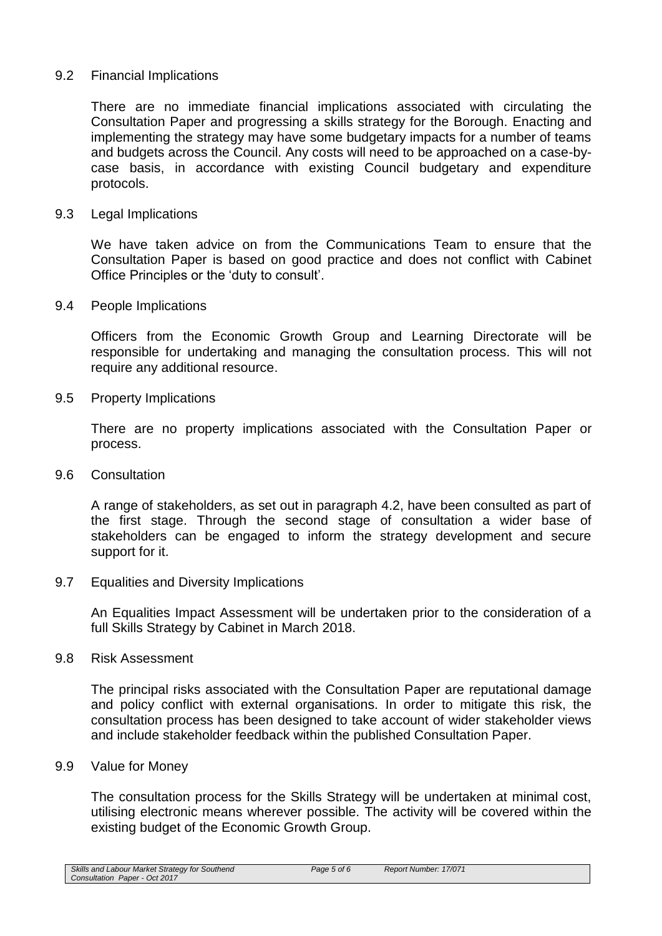#### 9.2 Financial Implications

There are no immediate financial implications associated with circulating the Consultation Paper and progressing a skills strategy for the Borough. Enacting and implementing the strategy may have some budgetary impacts for a number of teams and budgets across the Council. Any costs will need to be approached on a case-bycase basis, in accordance with existing Council budgetary and expenditure protocols.

#### 9.3 Legal Implications

We have taken advice on from the Communications Team to ensure that the Consultation Paper is based on good practice and does not conflict with Cabinet Office Principles or the 'duty to consult'.

9.4 People Implications

Officers from the Economic Growth Group and Learning Directorate will be responsible for undertaking and managing the consultation process. This will not require any additional resource.

9.5 Property Implications

There are no property implications associated with the Consultation Paper or process.

9.6 Consultation

A range of stakeholders, as set out in paragraph 4.2, have been consulted as part of the first stage. Through the second stage of consultation a wider base of stakeholders can be engaged to inform the strategy development and secure support for it.

9.7 Equalities and Diversity Implications

An Equalities Impact Assessment will be undertaken prior to the consideration of a full Skills Strategy by Cabinet in March 2018.

9.8 Risk Assessment

The principal risks associated with the Consultation Paper are reputational damage and policy conflict with external organisations. In order to mitigate this risk, the consultation process has been designed to take account of wider stakeholder views and include stakeholder feedback within the published Consultation Paper.

9.9 Value for Money

The consultation process for the Skills Strategy will be undertaken at minimal cost, utilising electronic means wherever possible. The activity will be covered within the existing budget of the Economic Growth Group.

*Skills and Labour Market Strategy for Southend Consultation Paper - Oct 2017*